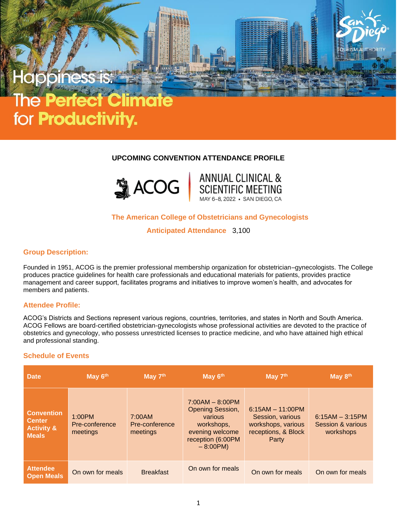# app

# for **Productivity.**

# **UPCOMING CONVENTION ATTENDANCE PROFILE**





# **The American College of Obstetricians and Gynecologists**

**Anticipated Attendance** 3,100

#### **Group Description:**

Founded in 1951, ACOG is the premier professional membership organization for obstetrician–gynecologists. The College produces practice guidelines for health care professionals and educational materials for patients, provides practice management and career support, facilitates programs and initiatives to improve women's health, and advocates for members and patients.

#### **Attendee Profile:**

ACOG's Districts and Sections represent various regions, countries, territories, and states in North and South America. ACOG Fellows are board-certified obstetrician-gynecologists whose professional activities are devoted to the practice of obstetrics and gynecology, who possess unrestricted licenses to practice medicine, and who have attained high ethical and professional standing.

# **Schedule of Events**

| <b>Date</b>                                                                 | May 6 <sup>th</sup>                  | May 7 <sup>th</sup>                  | May 6 <sup>th</sup>                                                                                                 | May 7 <sup>th</sup>                                                                          | May 8 <sup>th</sup>                                            |
|-----------------------------------------------------------------------------|--------------------------------------|--------------------------------------|---------------------------------------------------------------------------------------------------------------------|----------------------------------------------------------------------------------------------|----------------------------------------------------------------|
| <b>Convention</b><br><b>Center</b><br><b>Activity &amp;</b><br><b>Meals</b> | 1:00PM<br>Pre-conference<br>meetings | 7:00AM<br>Pre-conference<br>meetings | $7:00AM - 8:00PM$<br>Opening Session,<br>various<br>workshops,<br>evening welcome<br>reception (6:00PM<br>$-8:00PM$ | $6:15AM - 11:00PM$<br>Session, various<br>workshops, various<br>receptions, & Block<br>Party | $6:15AM - 3:15PM$<br><b>Session &amp; various</b><br>workshops |
| <b>Attendee</b><br><b>Open Meals</b>                                        | On own for meals                     | <b>Breakfast</b>                     | On own for meals                                                                                                    | On own for meals                                                                             | On own for meals                                               |